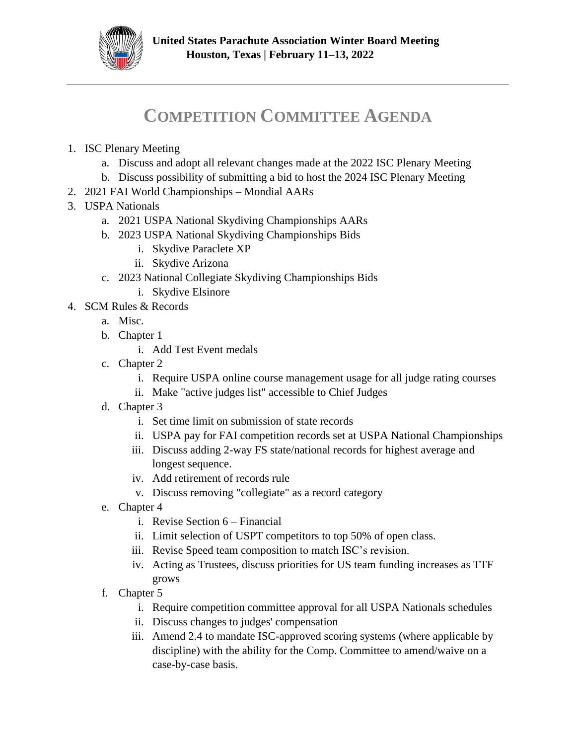

## **COMPETITION COMMITTEE AGENDA**

- 1. ISC Plenary Meeting
	- a. Discuss and adopt all relevant changes made at the 2022 ISC Plenary Meeting
	- b. Discuss possibility of submitting a bid to host the 2024 ISC Plenary Meeting
- 2. 2021 FAI World Championships Mondial AARs
- 3. USPA Nationals
	- a. 2021 USPA National Skydiving Championships AARs
	- b. 2023 USPA National Skydiving Championships Bids
		- i. Skydive Paraclete XP
		- ii. Skydive Arizona
	- c. 2023 National Collegiate Skydiving Championships Bids
		- i. Skydive Elsinore
- 4. SCM Rules & Records
	- a. Misc.
	- b. Chapter 1
		- i. Add Test Event medals
	- c. Chapter 2
		- i. Require USPA online course management usage for all judge rating courses
		- ii. Make "active judges list" accessible to Chief Judges
	- d. Chapter 3
		- i. Set time limit on submission of state records
		- ii. USPA pay for FAI competition records set at USPA National Championships
		- iii. Discuss adding 2-way FS state/national records for highest average and longest sequence.
		- iv. Add retirement of records rule
		- v. Discuss removing "collegiate" as a record category
	- e. Chapter 4
		- i. Revise Section 6 Financial
		- ii. Limit selection of USPT competitors to top 50% of open class.
		- iii. Revise Speed team composition to match ISC's revision.
		- iv. Acting as Trustees, discuss priorities for US team funding increases as TTF grows
	- f. Chapter 5
		- i. Require competition committee approval for all USPA Nationals schedules
		- ii. Discuss changes to judges' compensation
		- iii. Amend 2.4 to mandate ISC-approved scoring systems (where applicable by discipline) with the ability for the Comp. Committee to amend/waive on a case-by-case basis.